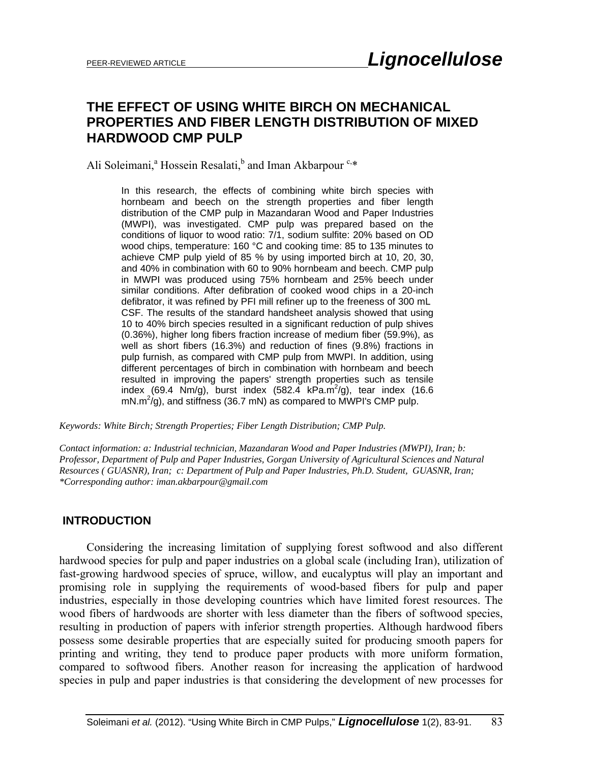# **THE EFFECT OF USING WHITE BIRCH ON MECHANICAL PROPERTIES AND FIBER LENGTH DISTRIBUTION OF MIXED HARDWOOD CMP PULP**

Ali Soleimani,<sup>a</sup> Hossein Resalati,<sup>b</sup> and Iman Akbarpour<sup>c,\*</sup>

In this research, the effects of combining white birch species with hornbeam and beech on the strength properties and fiber length distribution of the CMP pulp in Mazandaran Wood and Paper Industries (MWPI), was investigated. CMP pulp was prepared based on the conditions of liquor to wood ratio: 7/1, sodium sulfite: 20% based on OD wood chips, temperature: 160 °C and cooking time: 85 to 135 minutes to achieve CMP pulp yield of 85 % by using imported birch at 10, 20, 30, and 40% in combination with 60 to 90% hornbeam and beech. CMP pulp in MWPI was produced using 75% hornbeam and 25% beech under similar conditions. After defibration of cooked wood chips in a 20-inch defibrator, it was refined by PFI mill refiner up to the freeness of 300 mL CSF. The results of the standard handsheet analysis showed that using 10 to 40% birch species resulted in a significant reduction of pulp shives (0.36%), higher long fibers fraction increase of medium fiber (59.9%), as well as short fibers (16.3%) and reduction of fines (9.8%) fractions in pulp furnish, as compared with CMP pulp from MWPI. In addition, using different percentages of birch in combination with hornbeam and beech resulted in improving the papers' strength properties such as tensile index (69.4 Nm/g), burst index (582.4 kPa.m<sup>2</sup>/g), tear index (16.6  $mN.m^2/g$ ), and stiffness (36.7 mN) as compared to MWPI's CMP pulp.

*Keywords: White Birch; Strength Properties; Fiber Length Distribution; CMP Pulp.* 

*Contact information: a: Industrial technician, Mazandaran Wood and Paper Industries (MWPI), Iran; b: Professor, Department of Pulp and Paper Industries, Gorgan University of Agricultural Sciences and Natural Resources ( GUASNR), Iran; c: Department of Pulp and Paper Industries, Ph.D. Student, GUASNR, Iran; \*Corresponding author: iman.akbarpour@gmail.com*

# **INTRODUCTION**

Considering the increasing limitation of supplying forest softwood and also different hardwood species for pulp and paper industries on a global scale (including Iran), utilization of fast-growing hardwood species of spruce, willow, and eucalyptus will play an important and promising role in supplying the requirements of wood-based fibers for pulp and paper industries, especially in those developing countries which have limited forest resources. The wood fibers of hardwoods are shorter with less diameter than the fibers of softwood species, resulting in production of papers with inferior strength properties. Although hardwood fibers possess some desirable properties that are especially suited for producing smooth papers for printing and writing, they tend to produce paper products with more uniform formation, compared to softwood fibers. Another reason for increasing the application of hardwood species in pulp and paper industries is that considering the development of new processes for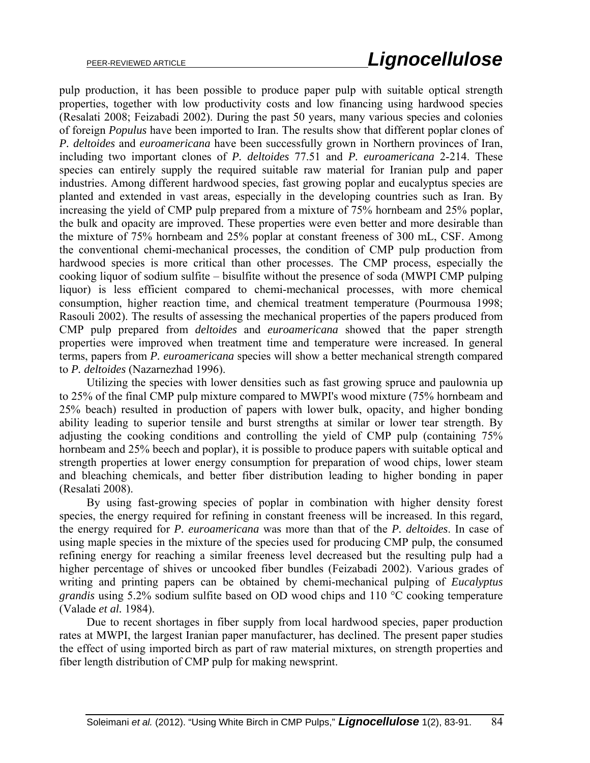pulp production, it has been possible to produce paper pulp with suitable optical strength properties, together with low productivity costs and low financing using hardwood species (Resalati 2008; Feizabadi 2002). During the past 50 years, many various species and colonies of foreign *Populus* have been imported to Iran. The results show that different poplar clones of *P. deltoides* and *euroamericana* have been successfully grown in Northern provinces of Iran, including two important clones of *P. deltoides* 77.51 and *P. euroamericana* 2-214. These species can entirely supply the required suitable raw material for Iranian pulp and paper industries. Among different hardwood species, fast growing poplar and eucalyptus species are planted and extended in vast areas, especially in the developing countries such as Iran. By increasing the yield of CMP pulp prepared from a mixture of 75% hornbeam and 25% poplar, the bulk and opacity are improved. These properties were even better and more desirable than the mixture of 75% hornbeam and 25% poplar at constant freeness of 300 mL, CSF. Among the conventional chemi-mechanical processes, the condition of CMP pulp production from hardwood species is more critical than other processes. The CMP process, especially the cooking liquor of sodium sulfite – bisulfite without the presence of soda (MWPI CMP pulping liquor) is less efficient compared to chemi-mechanical processes, with more chemical consumption, higher reaction time, and chemical treatment temperature (Pourmousa 1998; Rasouli 2002). The results of assessing the mechanical properties of the papers produced from CMP pulp prepared from *deltoides* and *euroamericana* showed that the paper strength properties were improved when treatment time and temperature were increased. In general terms, papers from *P. euroamericana* species will show a better mechanical strength compared to *P. deltoides* (Nazarnezhad 1996).

Utilizing the species with lower densities such as fast growing spruce and paulownia up to 25% of the final CMP pulp mixture compared to MWPI's wood mixture (75% hornbeam and 25% beach) resulted in production of papers with lower bulk, opacity, and higher bonding ability leading to superior tensile and burst strengths at similar or lower tear strength. By adjusting the cooking conditions and controlling the yield of CMP pulp (containing 75% hornbeam and 25% beech and poplar), it is possible to produce papers with suitable optical and strength properties at lower energy consumption for preparation of wood chips, lower steam and bleaching chemicals, and better fiber distribution leading to higher bonding in paper (Resalati 2008).

By using fast-growing species of poplar in combination with higher density forest species, the energy required for refining in constant freeness will be increased. In this regard, the energy required for *P. euroamericana* was more than that of the *P. deltoides*. In case of using maple species in the mixture of the species used for producing CMP pulp, the consumed refining energy for reaching a similar freeness level decreased but the resulting pulp had a higher percentage of shives or uncooked fiber bundles (Feizabadi 2002). Various grades of writing and printing papers can be obtained by chemi-mechanical pulping of *Eucalyptus grandis* using 5.2% sodium sulfite based on OD wood chips and 110 °C cooking temperature (Valade *et al.* 1984).

Due to recent shortages in fiber supply from local hardwood species, paper production rates at MWPI, the largest Iranian paper manufacturer, has declined. The present paper studies the effect of using imported birch as part of raw material mixtures, on strength properties and fiber length distribution of CMP pulp for making newsprint.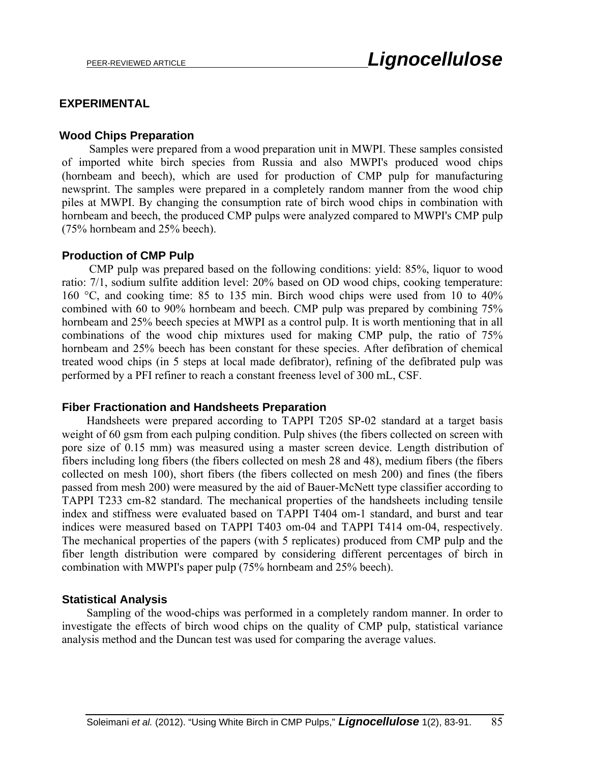#### **EXPERIMENTAL**

#### **Wood Chips Preparation**

Samples were prepared from a wood preparation unit in MWPI. These samples consisted of imported white birch species from Russia and also MWPI's produced wood chips (hornbeam and beech), which are used for production of CMP pulp for manufacturing newsprint. The samples were prepared in a completely random manner from the wood chip piles at MWPI. By changing the consumption rate of birch wood chips in combination with hornbeam and beech, the produced CMP pulps were analyzed compared to MWPI's CMP pulp (75% hornbeam and 25% beech).

#### **Production of CMP Pulp**

CMP pulp was prepared based on the following conditions: yield: 85%, liquor to wood ratio: 7/1, sodium sulfite addition level: 20% based on OD wood chips, cooking temperature: 160 °C, and cooking time: 85 to 135 min. Birch wood chips were used from 10 to 40% combined with 60 to 90% hornbeam and beech. CMP pulp was prepared by combining 75% hornbeam and 25% beech species at MWPI as a control pulp. It is worth mentioning that in all combinations of the wood chip mixtures used for making CMP pulp, the ratio of 75% hornbeam and 25% beech has been constant for these species. After defibration of chemical treated wood chips (in 5 steps at local made defibrator), refining of the defibrated pulp was performed by a PFI refiner to reach a constant freeness level of 300 mL, CSF.

#### **Fiber Fractionation and Handsheets Preparation**

Handsheets were prepared according to TAPPI T205 SP-02 standard at a target basis weight of 60 gsm from each pulping condition. Pulp shives (the fibers collected on screen with pore size of 0.15 mm) was measured using a master screen device. Length distribution of fibers including long fibers (the fibers collected on mesh 28 and 48), medium fibers (the fibers collected on mesh 100), short fibers (the fibers collected on mesh 200) and fines (the fibers passed from mesh 200) were measured by the aid of Bauer-McNett type classifier according to TAPPI T233 cm-82 standard. The mechanical properties of the handsheets including tensile index and stiffness were evaluated based on TAPPI T404 om-1 standard, and burst and tear indices were measured based on TAPPI T403 om-04 and TAPPI T414 om-04, respectively. The mechanical properties of the papers (with 5 replicates) produced from CMP pulp and the fiber length distribution were compared by considering different percentages of birch in combination with MWPI's paper pulp (75% hornbeam and 25% beech).

## **Statistical Analysis**

Sampling of the wood-chips was performed in a completely random manner. In order to investigate the effects of birch wood chips on the quality of CMP pulp, statistical variance analysis method and the Duncan test was used for comparing the average values.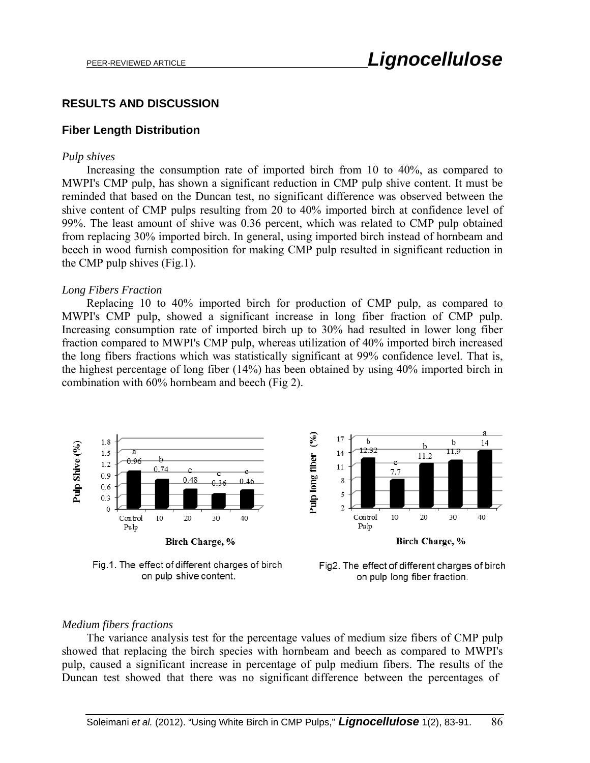# **RESULTS AND DISCUSSION**

# **Fiber Length Distribution**

#### *Pulp shives*

Increasing the consumption rate of imported birch from 10 to 40%, as compared to MWPI's CMP pulp, has shown a significant reduction in CMP pulp shive content. It must be reminded that based on the Duncan test, no significant difference was observed between the shive content of CMP pulps resulting from 20 to 40% imported birch at confidence level of 99%. The least amount of shive was 0.36 percent, which was related to CMP pulp obtained from replacing 30% imported birch. In general, using imported birch instead of hornbeam and beech in wood furnish composition for making CMP pulp resulted in significant reduction in the CMP pulp shives (Fig.1).

#### *Long Fibers Fraction*

Replacing 10 to 40% imported birch for production of CMP pulp, as compared to MWPI's CMP pulp, showed a significant increase in long fiber fraction of CMP pulp. Increasing consumption rate of imported birch up to 30% had resulted in lower long fiber fraction compared to MWPI's CMP pulp, whereas utilization of 40% imported birch increased the long fibers fractions which was statistically significant at 99% confidence level. That is, the highest percentage of long fiber (14%) has been obtained by using 40% imported birch in combination with 60% hornbeam and beech (Fig 2).



Fig.1. The effect of different charges of birch on pulp shive content.



Fig2. The effect of different charges of birch on pulp long fiber fraction.

## *Medium fibers fractions*

The variance analysis test for the percentage values of medium size fibers of CMP pulp showed that replacing the birch species with hornbeam and beech as compared to MWPI's pulp, caused a significant increase in percentage of pulp medium fibers. The results of the Duncan test showed that there was no significant difference between the percentages of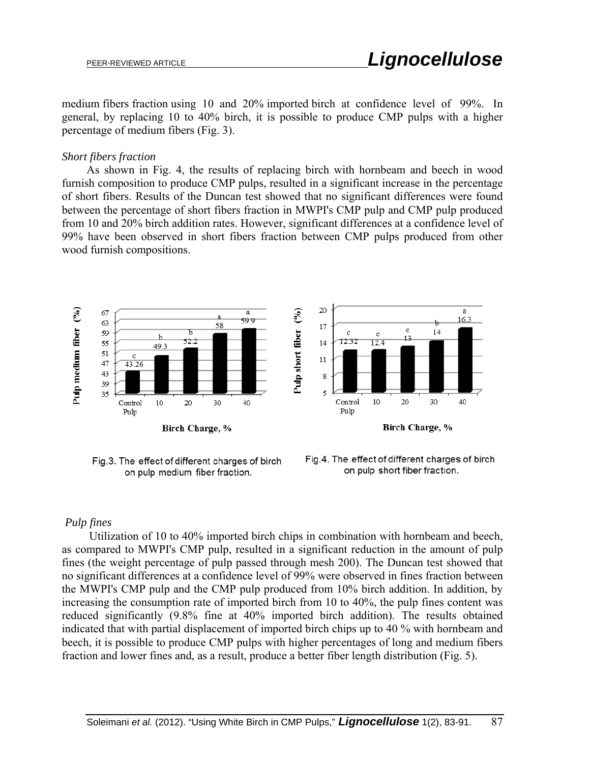medium fibers fraction using 10 and 20% imported birch at confidence level of 99%. In general, by replacing 10 to 40% birch, it is possible to produce CMP pulps with a higher percentage of medium fibers (Fig. 3).

#### *Short fibers fraction*

As shown in Fig. 4, the results of replacing birch with hornbeam and beech in wood furnish composition to produce CMP pulps, resulted in a significant increase in the percentage of short fibers. Results of the Duncan test showed that no significant differences were found between the percentage of short fibers fraction in MWPI's CMP pulp and CMP pulp produced from 10 and 20% birch addition rates. However, significant differences at a confidence level of 99% have been observed in short fibers fraction between CMP pulps produced from other wood furnish compositions.



Fig.3. The effect of different charges of birch on pulp medium fiber fraction.

Fig.4. The effect of different charges of birch on pulp short fiber fraction.

#### *Pulp fines*

Utilization of 10 to 40% imported birch chips in combination with hornbeam and beech, as compared to MWPI's CMP pulp, resulted in a significant reduction in the amount of pulp fines (the weight percentage of pulp passed through mesh 200). The Duncan test showed that no significant differences at a confidence level of 99% were observed in fines fraction between the MWPI's CMP pulp and the CMP pulp produced from 10% birch addition. In addition, by increasing the consumption rate of imported birch from 10 to 40%, the pulp fines content was reduced significantly (9.8% fine at 40% imported birch addition). The results obtained indicated that with partial displacement of imported birch chips up to 40 % with hornbeam and beech, it is possible to produce CMP pulps with higher percentages of long and medium fibers fraction and lower fines and, as a result, produce a better fiber length distribution (Fig. 5).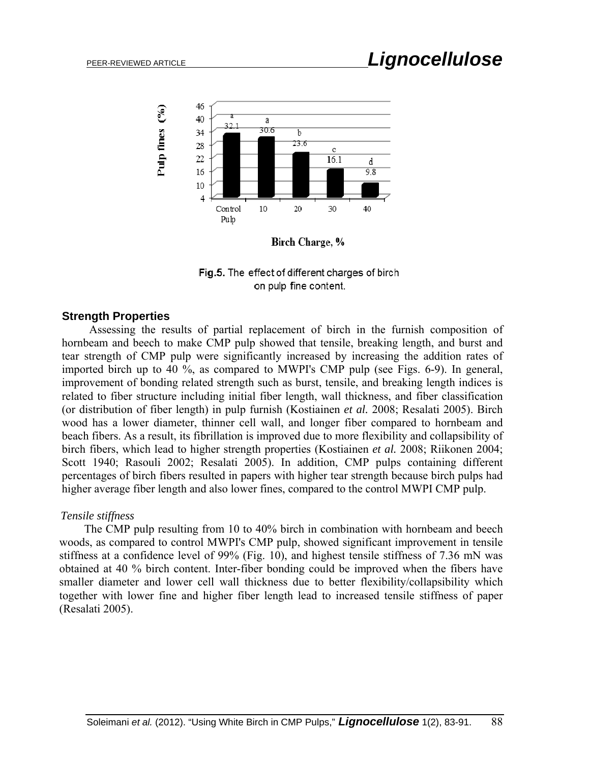

**Birch Charge, %** 

Fig.5. The effect of different charges of birch on pulp fine content.

#### **Strength Properties**

Assessing the results of partial replacement of birch in the furnish composition of hornbeam and beech to make CMP pulp showed that tensile, breaking length, and burst and tear strength of CMP pulp were significantly increased by increasing the addition rates of imported birch up to 40 %, as compared to MWPI's CMP pulp (see Figs. 6-9). In general, improvement of bonding related strength such as burst, tensile, and breaking length indices is related to fiber structure including initial fiber length, wall thickness, and fiber classification (or distribution of fiber length) in pulp furnish (Kostiainen *et al.* 2008; Resalati 2005). Birch wood has a lower diameter, thinner cell wall, and longer fiber compared to hornbeam and beach fibers. As a result, its fibrillation is improved due to more flexibility and collapsibility of birch fibers, which lead to higher strength properties (Kostiainen *et al.* 2008; Riikonen 2004; Scott 1940; Rasouli 2002; Resalati 2005). In addition, CMP pulps containing different percentages of birch fibers resulted in papers with higher tear strength because birch pulps had higher average fiber length and also lower fines, compared to the control MWPI CMP pulp.

#### *Tensile stiffness*

The CMP pulp resulting from 10 to 40% birch in combination with hornbeam and beech woods, as compared to control MWPI's CMP pulp, showed significant improvement in tensile stiffness at a confidence level of 99% (Fig. 10), and highest tensile stiffness of 7.36 mN was obtained at 40 % birch content. Inter-fiber bonding could be improved when the fibers have smaller diameter and lower cell wall thickness due to better flexibility/collapsibility which together with lower fine and higher fiber length lead to increased tensile stiffness of paper (Resalati 2005).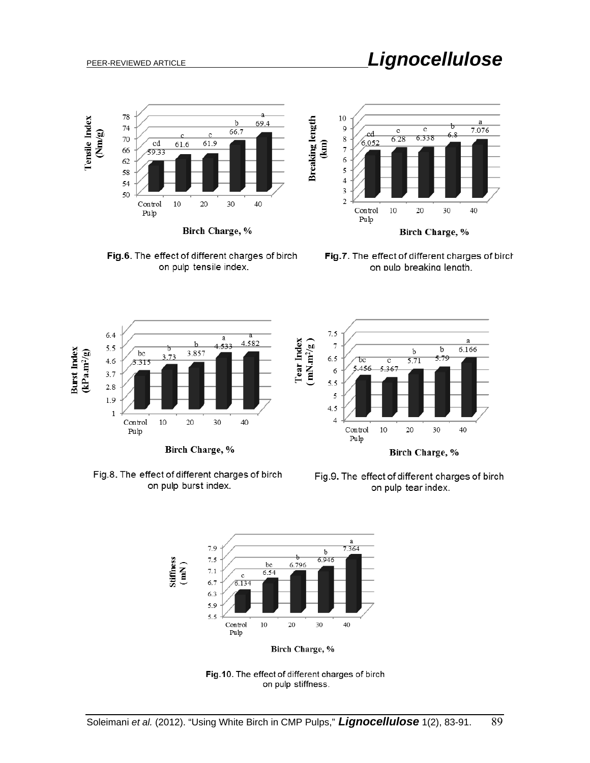# PEER-REVIEWED ARTICLE *Lignocellulose*



Fig.6. The effect of different charges of birch on pulp tensile index.



Fig.7. The effect of different charges of birch on pulp breaking length.



Fig.8. The effect of different charges of birch on pulp burst index.



Fig.9. The effect of different charges of birch on pulp tear index.



Fig.10. The effect of different charges of birch on pulp stiffness.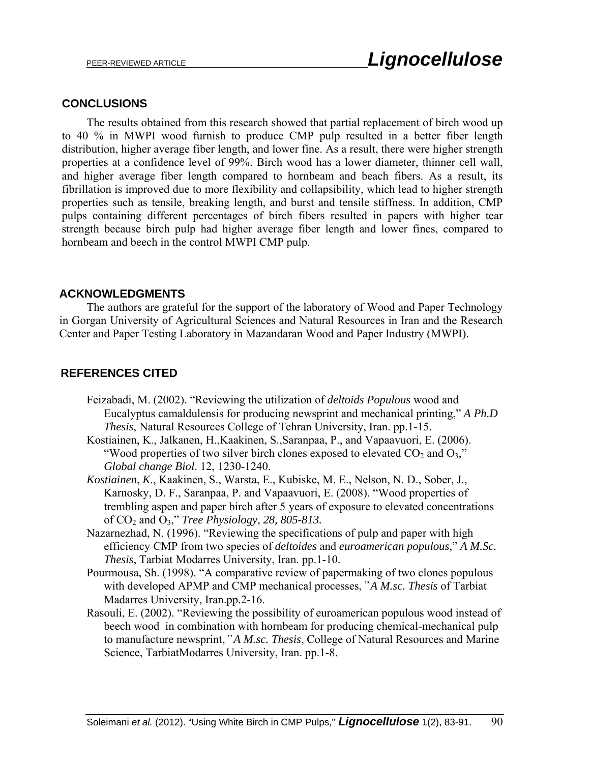# **CONCLUSIONS**

The results obtained from this research showed that partial replacement of birch wood up to 40 % in MWPI wood furnish to produce CMP pulp resulted in a better fiber length distribution, higher average fiber length, and lower fine. As a result, there were higher strength properties at a confidence level of 99%. Birch wood has a lower diameter, thinner cell wall, and higher average fiber length compared to hornbeam and beach fibers. As a result, its fibrillation is improved due to more flexibility and collapsibility, which lead to higher strength properties such as tensile, breaking length, and burst and tensile stiffness. In addition, CMP pulps containing different percentages of birch fibers resulted in papers with higher tear strength because birch pulp had higher average fiber length and lower fines, compared to hornbeam and beech in the control MWPI CMP pulp.

# **ACKNOWLEDGMENTS**

The authors are grateful for the support of the laboratory of Wood and Paper Technology in Gorgan University of Agricultural Sciences and Natural Resources in Iran and the Research Center and Paper Testing Laboratory in Mazandaran Wood and Paper Industry (MWPI).

# **REFERENCES CITED**

- Feizabadi, M. (2002). "Reviewing the utilization of *deltoids Populous* wood and Eucalyptus camaldulensis for producing newsprint and mechanical printing," *A Ph.D Thesis*, Natural Resources College of Tehran University, Iran. pp.1-15.
- Kostiainen, K., Jalkanen, H.,Kaakinen, S.,Saranpaa, P., and Vapaavuori, E. (2006). "Wood properties of two silver birch clones exposed to elevated  $CO<sub>2</sub>$  and  $O<sub>3</sub>$ ," *Global change Biol*. 12, 1230-1240.
- *Kostiainen*, *K*., Kaakinen, S., Warsta, E., Kubiske, M. E., Nelson, N. D., Sober, J., Karnosky, D. F., Saranpaa, P. and Vapaavuori, E. (2008). "Wood properties of trembling aspen and paper birch after 5 years of exposure to elevated concentrations of CO2 and O3," *Tree Physiology*, *28, 805-813.*
- Nazarnezhad, N. (1996). "Reviewing the specifications of pulp and paper with high efficiency CMP from two species of *deltoides* and *euroamerican populous*," *A M.Sc. Thesis*, Tarbiat Modarres University, Iran. pp.1-10.
- Pourmousa, Sh. (1998). "A comparative review of papermaking of two clones populous with developed APMP and CMP mechanical processes, "A M.sc. Thesis of Tarbiat Madarres University, Iran.pp.2-16.
- Rasouli, E. (2002). "Reviewing the possibility of euroamerican populous wood instead of beech wood in combination with hornbeam for producing chemical-mechanical pulp to manufacture newsprint, ̕ ̕*A M.sc. Thesis*, College of Natural Resources and Marine Science, TarbiatModarres University, Iran. pp.1-8.